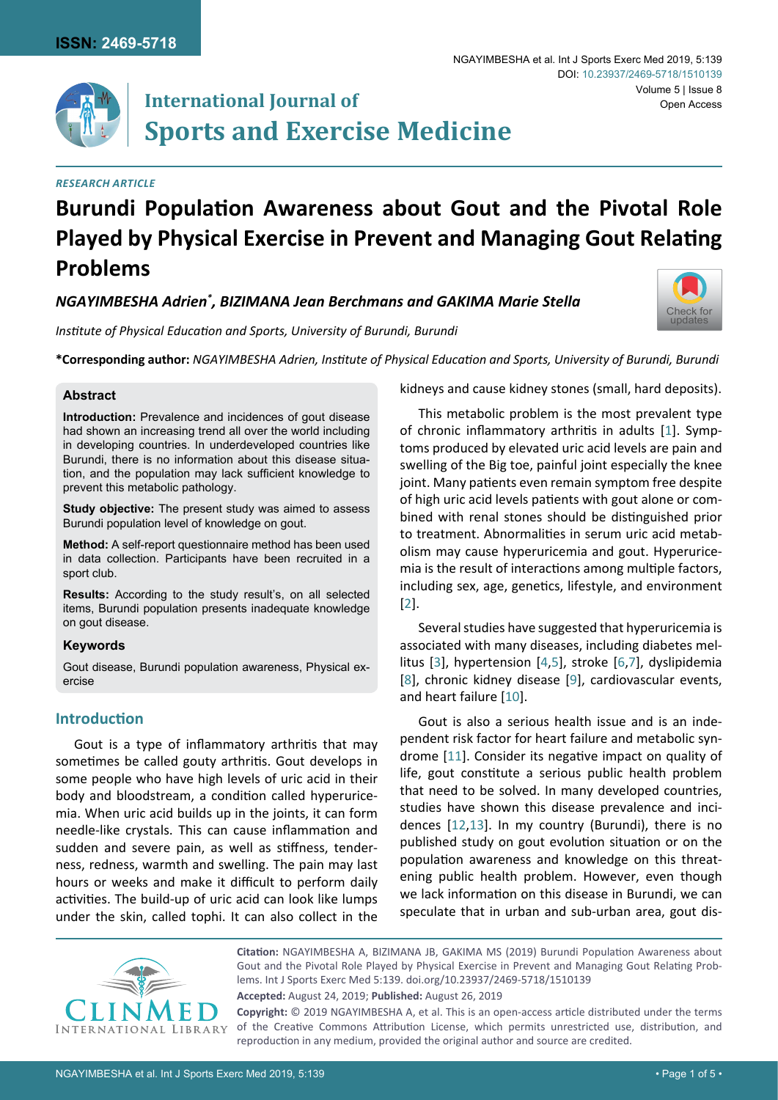

# **International Journal of Sports and Exercise Medicine**

#### *Research Article*

# **Burundi Population Awareness about Gout and the Pivotal Role Played by Physical Exercise in Prevent and Managing Gout Relating Problems**

*NGAYIMBESHA Adrien\* , BIZIMANA Jean Berchmans and GAKIMA Marie Stella*

*Institute of Physical Education and Sports, University of Burundi, Burundi*

**\*Corresponding author:** *NGAYIMBESHA Adrien, Institute of Physical Education and Sports, University of Burundi, Burundi* 

#### **Abstract**

**Introduction:** Prevalence and incidences of gout disease had shown an increasing trend all over the world including in developing countries. In underdeveloped countries like Burundi, there is no information about this disease situation, and the population may lack sufficient knowledge to prevent this metabolic pathology.

**Study objective:** The present study was aimed to assess Burundi population level of knowledge on gout.

**Method:** A self-report questionnaire method has been used in data collection. Participants have been recruited in a sport club.

**Results:** According to the study result's, on all selected items, Burundi population presents inadequate knowledge on gout disease.

#### **Keywords**

Gout disease, Burundi population awareness, Physical exercise

## **Introduction**

Gout is a type of inflammatory arthritis that may sometimes be called gouty arthritis. Gout develops in some people who have high levels of uric acid in their body and bloodstream, a condition called hyperuricemia. When uric acid builds up in the joints, it can form needle-like crystals. This can cause inflammation and sudden and severe pain, as well as stiffness, tenderness, redness, warmth and swelling. The pain may last hours or weeks and make it difficult to perform daily activities. The build-up of uric acid can look like lumps under the skin, called tophi. It can also collect in the

kidneys and cause kidney stones (small, hard deposits).

[Check for](http://crossmark.crossref.org/dialog/?doi=10.23937/2469-5718/1510139&domain=pdf) updates

This metabolic problem is the most prevalent type of chronic inflammatory arthritis in adults [[1](#page-3-0)]. Symptoms produced by elevated uric acid levels are pain and swelling of the Big toe, painful joint especially the knee joint. Many patients even remain symptom free despite of high uric acid levels patients with gout alone or combined with renal stones should be distinguished prior to treatment. Abnormalities in serum uric acid metabolism may cause hyperuricemia and gout. Hyperuricemia is the result of interactions among multiple factors, including sex, age, genetics, lifestyle, and environment [[2](#page-3-1)].

Several studies have suggested that hyperuricemia is associated with many diseases, including diabetes mellitus [\[3\]](#page-3-2), hypertension [[4](#page-3-3),[5\]](#page-3-4), stroke [[6](#page-3-5),[7\]](#page-3-6), dyslipidemia [[8](#page-3-7)], chronic kidney disease [[9](#page-3-8)], cardiovascular events, and heart failure [[10](#page-3-9)].

Gout is also a serious health issue and is an independent risk factor for heart failure and metabolic syndrome [[11](#page-3-10)]. Consider its negative impact on quality of life, gout constitute a serious public health problem that need to be solved. In many developed countries, studies have shown this disease prevalence and incidences [[12,](#page-3-11)[13\]](#page-3-12). In my country (Burundi), there is no published study on gout evolution situation or on the population awareness and knowledge on this threatening public health problem. However, even though we lack information on this disease in Burundi, we can speculate that in urban and sub-urban area, gout dis-



**Citation:** NGAYIMBESHA A, BIZIMANA JB, GAKIMA MS (2019) Burundi Population Awareness about Gout and the Pivotal Role Played by Physical Exercise in Prevent and Managing Gout Relating Problems. Int J Sports Exerc Med 5:139. [doi.org/10.23937/2469-5718/1510139](https://doi.org/10.23937/2469-5718/1510139)

**Accepted:** August 24, 2019; **Published:** August 26, 2019

**Copyright:** © 2019 NGAYIMBESHA A, et al. This is an open-access article distributed under the terms of the Creative Commons Attribution License, which permits unrestricted use, distribution, and reproduction in any medium, provided the original author and source are credited.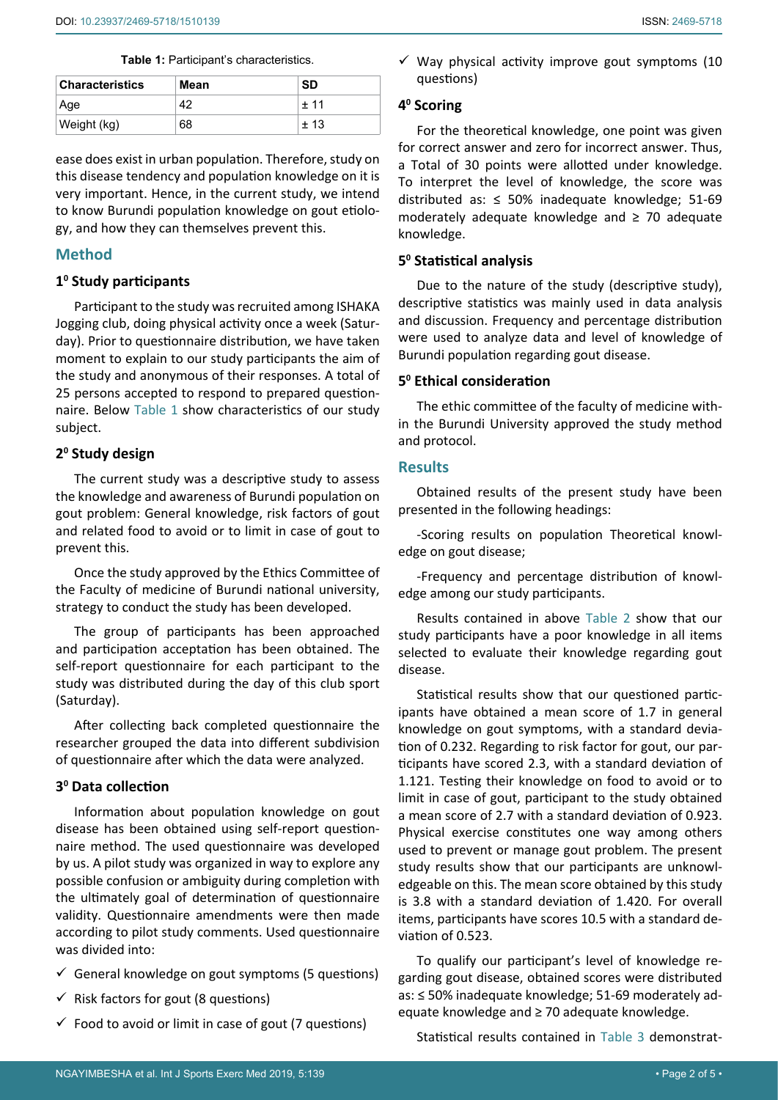<span id="page-1-0"></span>

| <b>Characteristics</b> | Mean | <b>SD</b> |
|------------------------|------|-----------|
| Age                    | 42   | $+11$     |
| Weight (kg)            | 68   | $+13$     |

ease does exist in urban population. Therefore, study on this disease tendency and population knowledge on it is very important. Hence, in the current study, we intend to know Burundi population knowledge on gout etiology, and how they can themselves prevent this.

### **Method**

### **10 Study participants**

Participant to the study was recruited among ISHAKA Jogging club, doing physical activity once a week (Saturday). Prior to questionnaire distribution, we have taken moment to explain to our study participants the aim of the study and anonymous of their responses. A total of 25 persons accepted to respond to prepared questionnaire. Below [Table 1](#page-1-0) show characteristics of our study subject.

### **20 Study design**

The current study was a descriptive study to assess the knowledge and awareness of Burundi population on gout problem: General knowledge, risk factors of gout and related food to avoid or to limit in case of gout to prevent this.

Once the study approved by the Ethics Committee of the Faculty of medicine of Burundi national university, strategy to conduct the study has been developed.

The group of participants has been approached and participation acceptation has been obtained. The self-report questionnaire for each participant to the study was distributed during the day of this club sport (Saturday).

After collecting back completed questionnaire the researcher grouped the data into different subdivision of questionnaire after which the data were analyzed.

#### **30 Data collection**

Information about population knowledge on gout disease has been obtained using self-report questionnaire method. The used questionnaire was developed by us. A pilot study was organized in way to explore any possible confusion or ambiguity during completion with the ultimately goal of determination of questionnaire validity. Questionnaire amendments were then made according to pilot study comments. Used questionnaire was divided into:

- $\checkmark$  General knowledge on gout symptoms (5 questions)
- $\checkmark$  Risk factors for gout (8 questions)
- $\checkmark$  Food to avoid or limit in case of gout (7 questions)

 $\checkmark$  Way physical activity improve gout symptoms (10 questions)

### **40 Scoring**

For the theoretical knowledge, one point was given for correct answer and zero for incorrect answer. Thus, a Total of 30 points were allotted under knowledge. To interpret the level of knowledge, the score was distributed as:  $\leq$  50% inadequate knowledge; 51-69 moderately adequate knowledge and ≥ 70 adequate knowledge.

#### **50 Statistical analysis**

Due to the nature of the study (descriptive study), descriptive statistics was mainly used in data analysis and discussion. Frequency and percentage distribution were used to analyze data and level of knowledge of Burundi population regarding gout disease.

## **50 Ethical consideration**

The ethic committee of the faculty of medicine within the Burundi University approved the study method and protocol.

### **Results**

Obtained results of the present study have been presented in the following headings:

-Scoring results on population Theoretical knowledge on gout disease;

-Frequency and percentage distribution of knowledge among our study participants.

Results contained in above [Table 2](#page-2-0) show that our study participants have a poor knowledge in all items selected to evaluate their knowledge regarding gout disease.

Statistical results show that our questioned participants have obtained a mean score of 1.7 in general knowledge on gout symptoms, with a standard deviation of 0.232. Regarding to risk factor for gout, our participants have scored 2.3, with a standard deviation of 1.121. Testing their knowledge on food to avoid or to limit in case of gout, participant to the study obtained a mean score of 2.7 with a standard deviation of 0.923. Physical exercise constitutes one way among others used to prevent or manage gout problem. The present study results show that our participants are unknowledgeable on this. The mean score obtained by this study is 3.8 with a standard deviation of 1.420. For overall items, participants have scores 10.5 with a standard deviation of 0.523.

To qualify our participant's level of knowledge regarding gout disease, obtained scores were distributed as: ≤ 50% inadequate knowledge; 51-69 moderately adequate knowledge and ≥ 70 adequate knowledge.

Statistical results contained in [Table 3](#page-2-1) demonstrat-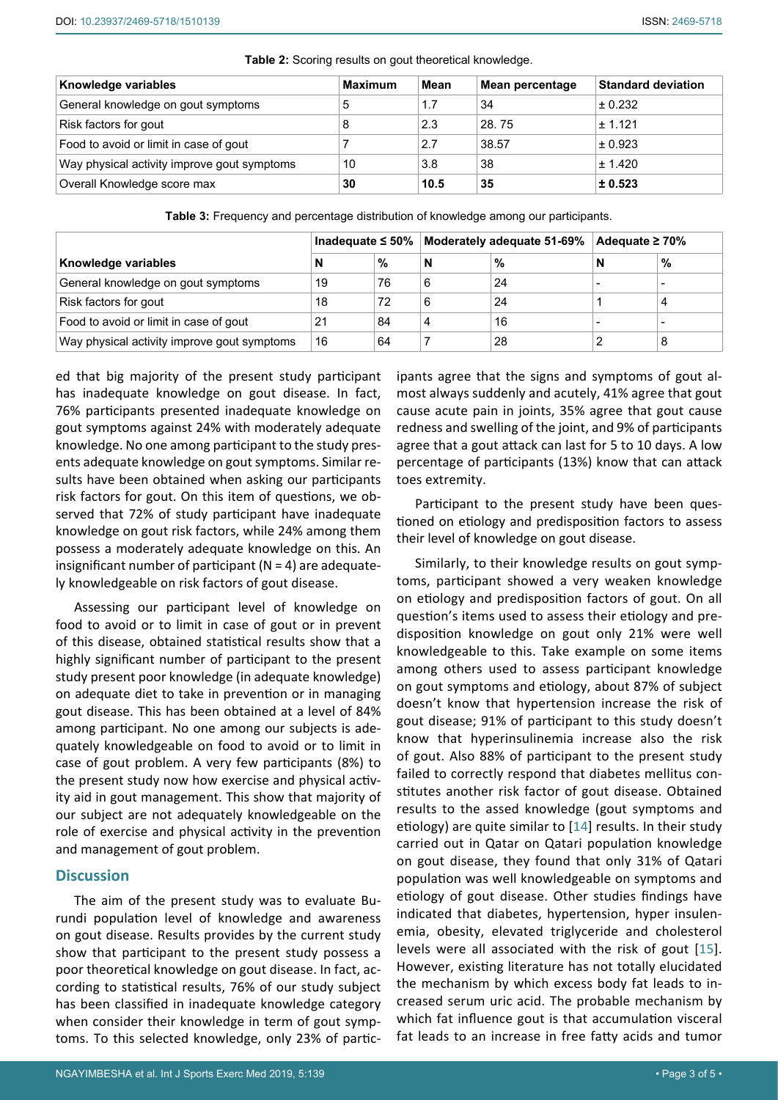| Knowledge variables                         | <b>Maximum</b> | Mean | Mean percentage | <b>Standard deviation</b> |  |
|---------------------------------------------|----------------|------|-----------------|---------------------------|--|
| General knowledge on gout symptoms          | 1.7<br>5       |      | 34              | ± 0.232                   |  |
| Risk factors for gout                       | 8              | 2.3  | 28.75           | ± 1.121                   |  |
| Food to avoid or limit in case of gout      |                | 2.7  | 38.57           | ± 0.923                   |  |
| Way physical activity improve gout symptoms | 10             | 3.8  | 38              | ± 1.420                   |  |
| Overall Knowledge score max                 | 30             | 10.5 | 35              | ± 0.523                   |  |

<span id="page-2-0"></span>**Table 2:** Scoring results on gout theoretical knowledge.

<span id="page-2-1"></span>**Table 3:** Frequency and percentage distribution of knowledge among our participants.

|                                             | Inadequate $\leq 50\%$ |      | Moderately adequate 51-69% |    | Adequate $\geq 70\%$ |   |
|---------------------------------------------|------------------------|------|----------------------------|----|----------------------|---|
| Knowledge variables                         | N                      | $\%$ | N                          | %  | N                    | % |
| General knowledge on gout symptoms          | 19                     | 76   | 6                          | 24 |                      |   |
| Risk factors for gout                       | 18                     | 72   | 6                          | 24 |                      |   |
| Food to avoid or limit in case of gout      | 21                     | 84   |                            | 16 |                      |   |
| Way physical activity improve gout symptoms | 16                     | 64   |                            | 28 |                      | 8 |

ed that big majority of the present study participant has inadequate knowledge on gout disease. In fact, 76% participants presented inadequate knowledge on gout symptoms against 24% with moderately adequate knowledge. No one among participant to the study presents adequate knowledge on gout symptoms. Similar results have been obtained when asking our participants risk factors for gout. On this item of questions, we observed that 72% of study participant have inadequate knowledge on gout risk factors, while 24% among them possess a moderately adequate knowledge on this. An insignificant number of participant ( $N = 4$ ) are adequately knowledgeable on risk factors of gout disease.

Assessing our participant level of knowledge on food to avoid or to limit in case of gout or in prevent of this disease, obtained statistical results show that a highly significant number of participant to the present study present poor knowledge (in adequate knowledge) on adequate diet to take in prevention or in managing gout disease. This has been obtained at a level of 84% among participant. No one among our subjects is adequately knowledgeable on food to avoid or to limit in case of gout problem. A very few participants (8%) to the present study now how exercise and physical activity aid in gout management. This show that majority of our subject are not adequately knowledgeable on the role of exercise and physical activity in the prevention and management of gout problem.

### **Discussion**

The aim of the present study was to evaluate Burundi population level of knowledge and awareness on gout disease. Results provides by the current study show that participant to the present study possess a poor theoretical knowledge on gout disease. In fact, according to statistical results, 76% of our study subject has been classified in inadequate knowledge category when consider their knowledge in term of gout symptoms. To this selected knowledge, only 23% of participants agree that the signs and symptoms of gout almost always suddenly and acutely, 41% agree that gout cause acute pain in joints, 35% agree that gout cause redness and swelling of the joint, and 9% of participants agree that a gout attack can last for 5 to 10 days. A low percentage of participants (13%) know that can attack toes extremity.

Participant to the present study have been questioned on etiology and predisposition factors to assess their level of knowledge on gout disease.

Similarly, to their knowledge results on gout symptoms, participant showed a very weaken knowledge on etiology and predisposition factors of gout. On all question's items used to assess their etiology and predisposition knowledge on gout only 21% were well knowledgeable to this. Take example on some items among others used to assess participant knowledge on gout symptoms and etiology, about 87% of subject doesn't know that hypertension increase the risk of gout disease; 91% of participant to this study doesn't know that hyperinsulinemia increase also the risk of gout. Also 88% of participant to the present study failed to correctly respond that diabetes mellitus constitutes another risk factor of gout disease. Obtained results to the assed knowledge (gout symptoms and etiology) are quite similar to [[14](#page-3-13)] results. In their study carried out in Qatar on Qatari population knowledge on gout disease, they found that only 31% of Qatari population was well knowledgeable on symptoms and etiology of gout disease. Other studies findings have indicated that diabetes, hypertension, hyper insulenemia, obesity, elevated triglyceride and cholesterol levels were all associated with the risk of gout [[15](#page-4-0)]. However, existing literature has not totally elucidated the mechanism by which excess body fat leads to increased serum uric acid. The probable mechanism by which fat influence gout is that accumulation visceral fat leads to an increase in free fatty acids and tumor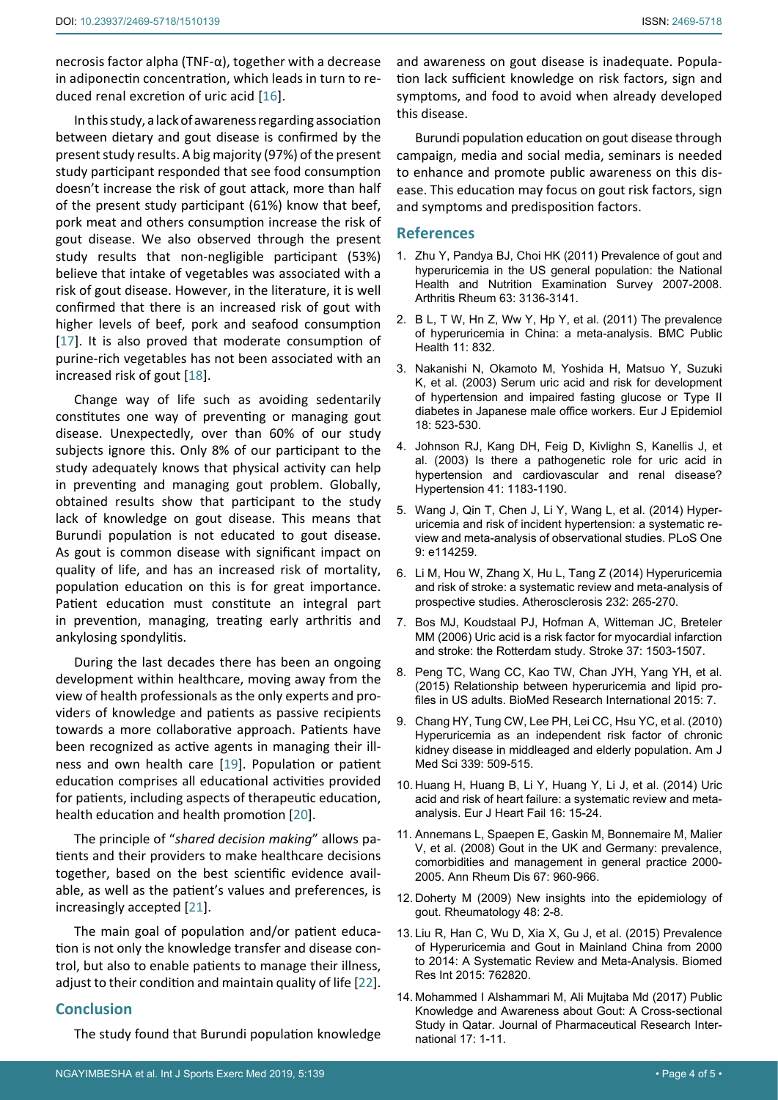necrosis factor alpha (TNF-α), together with a decrease in adiponectin concentration, which leads in turn to reduced renal excretion of uric acid [[16](#page-4-1)].

In this study, a lack of awareness regarding association between dietary and gout disease is confirmed by the present study results. A big majority (97%) of the present study participant responded that see food consumption doesn't increase the risk of gout attack, more than half of the present study participant (61%) know that beef, pork meat and others consumption increase the risk of gout disease. We also observed through the present study results that non-negligible participant (53%) believe that intake of vegetables was associated with a risk of gout disease. However, in the literature, it is well confirmed that there is an increased risk of gout with higher levels of beef, pork and seafood consumption [[17](#page-4-2)]. It is also proved that moderate consumption of purine-rich vegetables has not been associated with an increased risk of gout [\[18](#page-4-3)].

Change way of life such as avoiding sedentarily constitutes one way of preventing or managing gout disease. Unexpectedly, over than 60% of our study subjects ignore this. Only 8% of our participant to the study adequately knows that physical activity can help in preventing and managing gout problem. Globally, obtained results show that participant to the study lack of knowledge on gout disease. This means that Burundi population is not educated to gout disease. As gout is common disease with significant impact on quality of life, and has an increased risk of mortality, population education on this is for great importance. Patient education must constitute an integral part in prevention, managing, treating early arthritis and ankylosing spondylitis.

During the last decades there has been an ongoing development within healthcare, moving away from the view of health professionals as the only experts and providers of knowledge and patients as passive recipients towards a more collaborative approach. Patients have been recognized as active agents in managing their illness and own health care [[19](#page-4-4)]. Population or patient education comprises all educational activities provided for patients, including aspects of therapeutic education, health education and health promotion [[20](#page-4-5)].

The principle of "*shared decision making*" allows patients and their providers to make healthcare decisions together, based on the best scientific evidence available, as well as the patient's values and preferences, is increasingly accepted [[21](#page-4-6)].

The main goal of population and/or patient education is not only the knowledge transfer and disease control, but also to enable patients to manage their illness, adjust to their condition and maintain quality of life [[22](#page-4-7)].

#### **Conclusion**

The study found that Burundi population knowledge

and awareness on gout disease is inadequate. Population lack sufficient knowledge on risk factors, sign and symptoms, and food to avoid when already developed this disease.

Burundi population education on gout disease through campaign, media and social media, seminars is needed to enhance and promote public awareness on this disease. This education may focus on gout risk factors, sign and symptoms and predisposition factors.

#### **References**

- <span id="page-3-0"></span>1. [Zhu Y, Pandya BJ, Choi HK \(2011\) Prevalence of gout and](http://www.ncbi.nlm.nih.gov/pubmed/21800283)  [hyperuricemia in the US general population: the National](http://www.ncbi.nlm.nih.gov/pubmed/21800283)  [Health and Nutrition Examination Survey 2007-2008.](http://www.ncbi.nlm.nih.gov/pubmed/21800283)  [Arthritis Rheum 63: 3136-3141.](http://www.ncbi.nlm.nih.gov/pubmed/21800283)
- <span id="page-3-1"></span>2. [B L, T W, Hn Z, Ww Y, Hp Y, et al. \(2011\) The prevalence](http://www.ncbi.nlm.nih.gov/pubmed/22032610)  [of hyperuricemia in China: a meta-analysis. BMC Public](http://www.ncbi.nlm.nih.gov/pubmed/22032610)  [Health 11: 832.](http://www.ncbi.nlm.nih.gov/pubmed/22032610)
- <span id="page-3-2"></span>3. [Nakanishi N, Okamoto M, Yoshida H, Matsuo Y, Suzuki](http://www.ncbi.nlm.nih.gov/pubmed/12908717)  [K, et al. \(2003\) Serum uric acid and risk for development](http://www.ncbi.nlm.nih.gov/pubmed/12908717)  [of hypertension and impaired fasting glucose or Type II](http://www.ncbi.nlm.nih.gov/pubmed/12908717)  [diabetes in Japanese male office workers. Eur J Epidemiol](http://www.ncbi.nlm.nih.gov/pubmed/12908717)  [18: 523-530.](http://www.ncbi.nlm.nih.gov/pubmed/12908717)
- <span id="page-3-3"></span>4. [Johnson RJ, Kang DH, Feig D, Kivlighn S, Kanellis J, et](http://www.ncbi.nlm.nih.gov/pubmed/12707287)  [al. \(2003\) Is there a pathogenetic role for uric acid in](http://www.ncbi.nlm.nih.gov/pubmed/12707287)  [hypertension and cardiovascular and renal disease?](http://www.ncbi.nlm.nih.gov/pubmed/12707287)  [Hypertension 41: 1183-1190.](http://www.ncbi.nlm.nih.gov/pubmed/12707287)
- <span id="page-3-4"></span>5. [Wang J, Qin T, Chen J, Li Y, Wang L, et al. \(2014\) Hyper](http://www.ncbi.nlm.nih.gov/pubmed/25437867)[uricemia and risk of incident hypertension: a systematic re](http://www.ncbi.nlm.nih.gov/pubmed/25437867)[view and meta-analysis of observational studies. PLoS One](http://www.ncbi.nlm.nih.gov/pubmed/25437867)  [9: e114259.](http://www.ncbi.nlm.nih.gov/pubmed/25437867)
- <span id="page-3-5"></span>6. [Li M, Hou W, Zhang X, Hu L, Tang Z \(2014\) Hyperuricemia](https://www.ncbi.nlm.nih.gov/pubmed/24468137)  [and risk of stroke: a systematic review and meta-analysis of](https://www.ncbi.nlm.nih.gov/pubmed/24468137)  [prospective studies. Atherosclerosis 232: 265-270.](https://www.ncbi.nlm.nih.gov/pubmed/24468137)
- <span id="page-3-6"></span>7. [Bos MJ, Koudstaal PJ, Hofman A, Witteman JC, Breteler](http://www.ncbi.nlm.nih.gov/pubmed/16675740)  [MM \(2006\) Uric acid is a risk factor for myocardial infarction](http://www.ncbi.nlm.nih.gov/pubmed/16675740)  [and stroke: the Rotterdam study. Stroke 37: 1503-1507.](http://www.ncbi.nlm.nih.gov/pubmed/16675740)
- <span id="page-3-7"></span>8. [Peng TC, Wang CC, Kao TW, Chan JYH, Yang YH, et al.](https://www.hindawi.com/journals/bmri/2015/127596/)  [\(2015\) Relationship between hyperuricemia and lipid pro](https://www.hindawi.com/journals/bmri/2015/127596/)[files in US adults. BioMed Research International 2015: 7.](https://www.hindawi.com/journals/bmri/2015/127596/)
- <span id="page-3-8"></span>9. [Chang HY, Tung CW, Lee PH, Lei CC, Hsu YC, et al. \(2010\)](https://www.ncbi.nlm.nih.gov/pubmed/20421785)  [Hyperuricemia as an independent risk factor of chronic](https://www.ncbi.nlm.nih.gov/pubmed/20421785)  [kidney disease in middleaged and elderly population. Am J](https://www.ncbi.nlm.nih.gov/pubmed/20421785)  [Med Sci 339: 509-515.](https://www.ncbi.nlm.nih.gov/pubmed/20421785)
- <span id="page-3-9"></span>10. [Huang H, Huang B, Li Y, Huang Y, Li J, et al. \(2014\) Uric](https://www.ncbi.nlm.nih.gov/pubmed/23933579)  [acid and risk of heart failure: a systematic review and meta](https://www.ncbi.nlm.nih.gov/pubmed/23933579)[analysis. Eur J Heart Fail 16: 15-24.](https://www.ncbi.nlm.nih.gov/pubmed/23933579)
- <span id="page-3-10"></span>11. [Annemans L, Spaepen E, Gaskin M, Bonnemaire M, Malier](https://www.ncbi.nlm.nih.gov/pmc/articles/PMC2564789/)  [V, et al. \(2008\) Gout in the UK and Germany: prevalence,](https://www.ncbi.nlm.nih.gov/pmc/articles/PMC2564789/)  [comorbidities and management in general practice 2000-](https://www.ncbi.nlm.nih.gov/pmc/articles/PMC2564789/) [2005. Ann Rheum Dis 67: 960-966.](https://www.ncbi.nlm.nih.gov/pmc/articles/PMC2564789/)
- <span id="page-3-11"></span>12. [Doherty M \(2009\) New insights into the epidemiology of](https://www.ncbi.nlm.nih.gov/pubmed/19447779)  [gout. Rheumatology 48: 2-8.](https://www.ncbi.nlm.nih.gov/pubmed/19447779)
- <span id="page-3-12"></span>13. [Liu R, Han C, Wu D, Xia X, Gu J, et al. \(2015\) Prevalence](https://www.ncbi.nlm.nih.gov/pubmed/26640795)  [of Hyperuricemia and Gout in Mainland China from 2000](https://www.ncbi.nlm.nih.gov/pubmed/26640795)  [to 2014: A Systematic Review and Meta-Analysis. Biomed](https://www.ncbi.nlm.nih.gov/pubmed/26640795)  [Res Int 2015: 762820.](https://www.ncbi.nlm.nih.gov/pubmed/26640795)
- <span id="page-3-13"></span>14. [Mohammed I Alshammari M, Ali Mujtaba Md \(2017\) Public](http://www.journalrepository.org/media/journals/JPRI_65/2017/Jun/Mujtaba1742017JPRI34375.pdf)  [Knowledge and Awareness about Gout: A Cross-sectional](http://www.journalrepository.org/media/journals/JPRI_65/2017/Jun/Mujtaba1742017JPRI34375.pdf)  [Study in Qatar. Journal of Pharmaceutical Research Inter](http://www.journalrepository.org/media/journals/JPRI_65/2017/Jun/Mujtaba1742017JPRI34375.pdf)[national 17: 1-11.](http://www.journalrepository.org/media/journals/JPRI_65/2017/Jun/Mujtaba1742017JPRI34375.pdf)